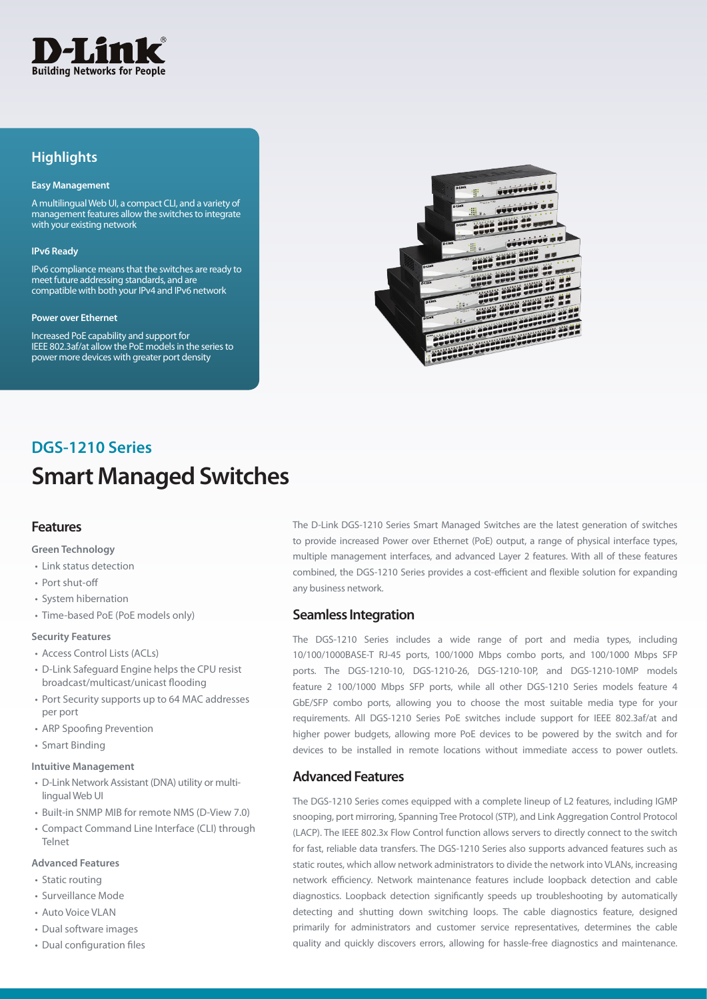

## **Highlights**

#### **Easy Management**

A multilingual Web UI, a compact CLI, and a variety of management features allow the switches to integrate with your existing network

#### **IPv6 Ready**

IPv6 compliance means that the switches are ready to meet future addressing standards, and are compatible with both your IPv4 and IPv6 network

#### **Power over Ethernet**

Increased PoE capability and support for IEEE 802.3af/at allow the PoE models in the series to power more devices with greater port density



## **Smart Managed Switches DGS-1210 Series**

### **Features**

#### **Green Technology**

- Link status detection
- Port shut-off
- System hibernation
- Time-based PoE (PoE models only)

#### **Security Features**

- Access Control Lists (ACLs)
- D-Link Safeguard Engine helps the CPU resist broadcast/multicast/unicast flooding
- Port Security supports up to 64 MAC addresses per port
- ARP Spoofing Prevention
- Smart Binding

#### **Intuitive Management**

- D-Link Network Assistant (DNA) utility or multilingual Web UI
- Built-in SNMP MIB for remote NMS (D-View 7.0)
- Compact Command Line Interface (CLI) through Telnet

#### **Advanced Features**

- Static routing
- Surveillance Mode
- Auto Voice VLAN
- Dual software images
- Dual configuration files

The D-Link DGS-1210 Series Smart Managed Switches are the latest generation of switches to provide increased Power over Ethernet (PoE) output, a range of physical interface types, multiple management interfaces, and advanced Layer 2 features. With all of these features combined, the DGS-1210 Series provides a cost-efficient and flexible solution for expanding any business network.

### **Seamless Integration**

The DGS-1210 Series includes a wide range of port and media types, including 10/100/1000BASE-T RJ-45 ports, 100/1000 Mbps combo ports, and 100/1000 Mbps SFP ports. The DGS-1210-10, DGS-1210-26, DGS-1210-10P, and DGS-1210-10MP models feature 2 100/1000 Mbps SFP ports, while all other DGS-1210 Series models feature 4 GbE/SFP combo ports, allowing you to choose the most suitable media type for your requirements. All DGS-1210 Series PoE switches include support for IEEE 802.3af/at and higher power budgets, allowing more PoE devices to be powered by the switch and for devices to be installed in remote locations without immediate access to power outlets.

### **Advanced Features**

The DGS-1210 Series comes equipped with a complete lineup of L2 features, including IGMP snooping, port mirroring, Spanning Tree Protocol (STP), and Link Aggregation Control Protocol (LACP). The IEEE 802.3x Flow Control function allows servers to directly connect to the switch for fast, reliable data transfers. The DGS-1210 Series also supports advanced features such as static routes, which allow network administrators to divide the network into VLANs, increasing network efficiency. Network maintenance features include loopback detection and cable diagnostics. Loopback detection significantly speeds up troubleshooting by automatically detecting and shutting down switching loops. The cable diagnostics feature, designed primarily for administrators and customer service representatives, determines the cable quality and quickly discovers errors, allowing for hassle-free diagnostics and maintenance.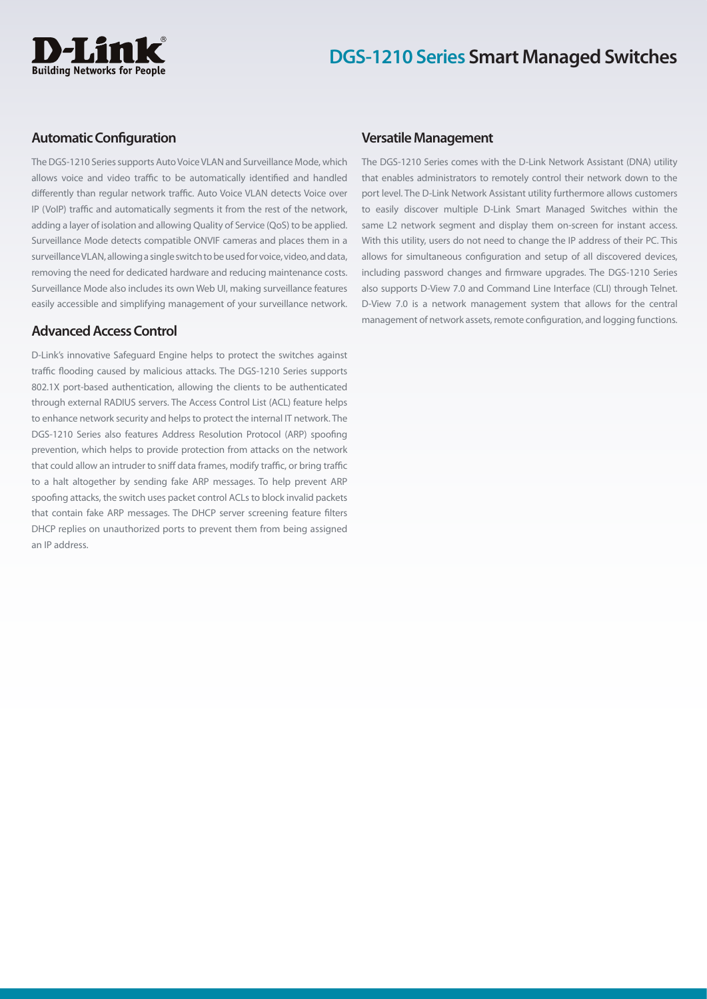

### **Automatic Configuration**

The DGS-1210 Series supports Auto Voice VLAN and Surveillance Mode, which allows voice and video traffic to be automatically identified and handled differently than regular network traffic. Auto Voice VLAN detects Voice over IP (VoIP) traffic and automatically segments it from the rest of the network, adding a layer of isolation and allowing Quality of Service (QoS) to be applied. Surveillance Mode detects compatible ONVIF cameras and places them in a surveillance VLAN, allowing a single switch to be used for voice, video, and data, removing the need for dedicated hardware and reducing maintenance costs. Surveillance Mode also includes its own Web UI, making surveillance features easily accessible and simplifying management of your surveillance network.

### **Advanced Access Control**

D-Link's innovative Safeguard Engine helps to protect the switches against traffic flooding caused by malicious attacks. The DGS-1210 Series supports 802.1X port-based authentication, allowing the clients to be authenticated through external RADIUS servers. The Access Control List (ACL) feature helps to enhance network security and helps to protect the internal IT network. The DGS-1210 Series also features Address Resolution Protocol (ARP) spoofing prevention, which helps to provide protection from attacks on the network that could allow an intruder to sniff data frames, modify traffic, or bring traffic to a halt altogether by sending fake ARP messages. To help prevent ARP spoofing attacks, the switch uses packet control ACLs to block invalid packets that contain fake ARP messages. The DHCP server screening feature filters DHCP replies on unauthorized ports to prevent them from being assigned an IP address.

#### **Versatile Management**

The DGS-1210 Series comes with the D-Link Network Assistant (DNA) utility that enables administrators to remotely control their network down to the port level. The D-Link Network Assistant utility furthermore allows customers to easily discover multiple D-Link Smart Managed Switches within the same L2 network segment and display them on-screen for instant access. With this utility, users do not need to change the IP address of their PC. This allows for simultaneous configuration and setup of all discovered devices, including password changes and firmware upgrades. The DGS-1210 Series also supports D-View 7.0 and Command Line Interface (CLI) through Telnet. D-View 7.0 is a network management system that allows for the central management of network assets, remote configuration, and logging functions.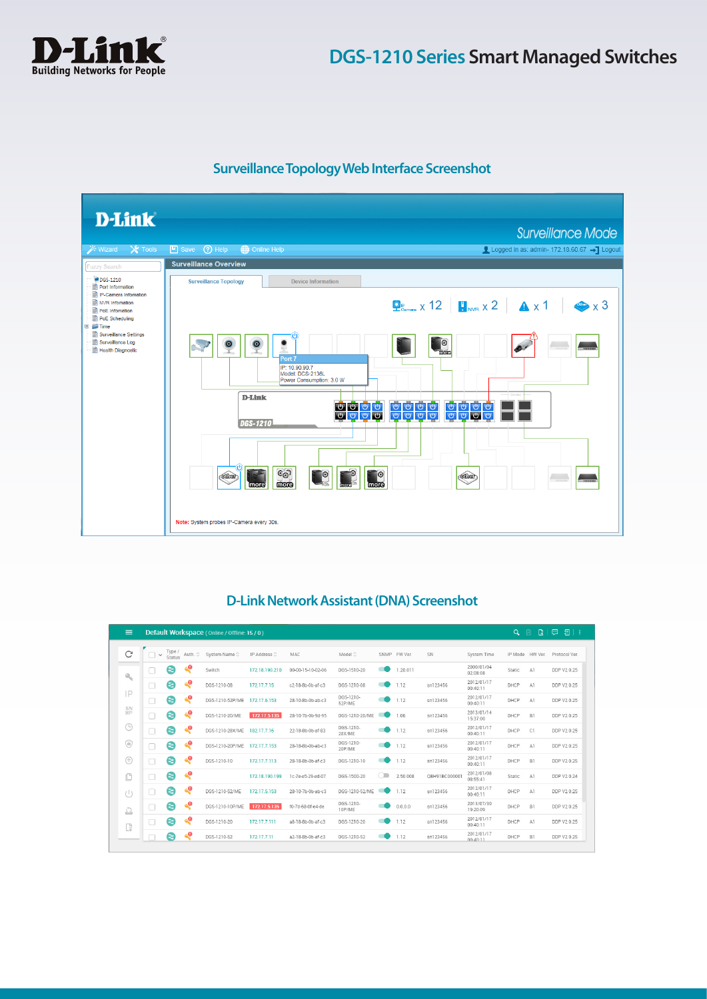

## **Surveillance Topology Web Interface Screenshot**



## **D-Link Network Assistant (DNA) Screenshot**

| $\equiv$                  |           |        |                | Default Workspace (Online / Offline: 15/0) |                      |                   |                     |            |          |               |                        | $\alpha$        | $\mathbb{R}$<br>隐 | 画<br>目<br>- 1 |
|---------------------------|-----------|--------|----------------|--------------------------------------------|----------------------|-------------------|---------------------|------------|----------|---------------|------------------------|-----------------|-------------------|---------------|
| C                         | $\ddot{}$ | Type / | Status Auth. C | System Name C                              | IP Address $\hat{C}$ | MAC               | Model $\Diamond$    | SNMP       | FW Ver.  | SN            | System Time            | IP Mode HW Ver. |                   | Protocol Ver. |
| $\mathbf{Q}_{\mathbf{q}}$ | c         | €      | ۹ę             | Switch                                     | 172.18.190.210       | 00-00-15-10-02-06 | DGS-1510-20         |            | 1.20.011 |               | 2000/01/04<br>02:08:08 | Static          | A1                | DDP V2 0.25   |
|                           | O         | €      | ۹ę             | DGS-1210-08                                | 172, 17, 7, 15       | c2-18-8b-0b-af-c3 | DGS-1210-08         |            | 1.12     | sn123456      | 2012/01/17<br>00:40:11 | DHCP            | A1                | DDP V2 0.25   |
| IP                        | Π         | ❸      | $\mathbf{e}$   | DGS-1210-52P/ME                            | 172.17.6.153         | 28-10-8b-0b-ab-c3 | DGS-1210-<br>52P/ME |            | 1.12     | sn123456      | 2012/01/17<br>00:40:11 | DHCP            | A1                | DDP V2 0.25   |
| SN <sub>NP</sub>          | $\Box$    | ❸      | $\mathbf{e}$   | DGS-1210-20/ME                             | 172.17.5.135         | 28-10-7b-0b-9d-95 | DGS-1210-20/ME      |            | 1.06     | sn123456      | 2013/01/14<br>15:37:00 | DHCP            | B1                | DDP V2 0.25   |
| ⊕                         |           | ❸      | ۹ę             | DGS-1210-28X/ME                            | 182 17 7 16          | 22-18-8b-0b-af-83 | DGS-1210-<br>28X/ME |            | 112      | sn123456      | 2012/01/17<br>00:40:11 | DHCP            | C1                | DDP V2 0.25   |
| ◉                         |           | ❸      | ۹ę             | DGS-1210-20P/ME                            | 172.17.7.153         | 28-18-8b-0b-ab-c3 | DGS-1210-<br>20P/MF |            | 1.12     | sn123456      | 2012/01/17<br>00:40:11 | DHCP            | A1                | DDP V2 0.25   |
| ⋒                         |           | €      | ۹ę             | DGS-1210-10                                | 172, 17, 7, 113      | 28-18-8b-0b-af-c3 | DGS-1210-10         |            | 112      | sn123456      | 2012/01/17<br>00:40:11 | <b>DHCP</b>     | B1                | DDP V2 0.25   |
| ıO                        | $\Box$    | €      | æ              |                                            | 172.18.190.199       | 1c-7e-e5-29-ed-07 | DGS-1500-20         | $\bigcirc$ | 2.50.008 | OBH91BC000001 | 2012/01/08<br>08:55:41 | Static          | A1                | DDP V2 0.24   |
| (1)                       |           | ❸      | ۹ę             | DGS-1210-52/ME                             | 172.17.5.153         | 28-10-7b-0b-ab-c3 | DGS-1210-52/ME      |            | 1.12     | sn123456      | 2012/01/17<br>00:40:11 | DHCP            | A1                | DDP V2 0.25   |
| $\circlearrowright$       | □         | ❸      | ۹ę             | DGS-1210-10P/ME                            | 172.17.5.135         | f0-7d-68-0f-e4-de | DGS-1210-<br>10P/ME |            | 0.0.0.0  | sn123456      | 2013/07/30<br>19:20:09 | DHCP            | B1                | DDP V2 0.25   |
| G                         | □         | €      | ۹ę             | DGS-1210-20                                | 172.17.7.111         | a8-18-8b-0b-af-c3 | DGS-1210-20         |            | 1.12     | sn123456      | 2012/01/17<br>00:40:11 | DHCP            | A1                | DDP V2 0.25   |
|                           |           | €      | æ              | DGS-1210-52                                | 172.17.7.11          | a2-18-8b-0b-af-c3 | DGS-1210-52         |            | 1.12     | sn123456      | 2012/01/17<br>00:40:11 | DHCP            | B1                | DDP V2 0.25   |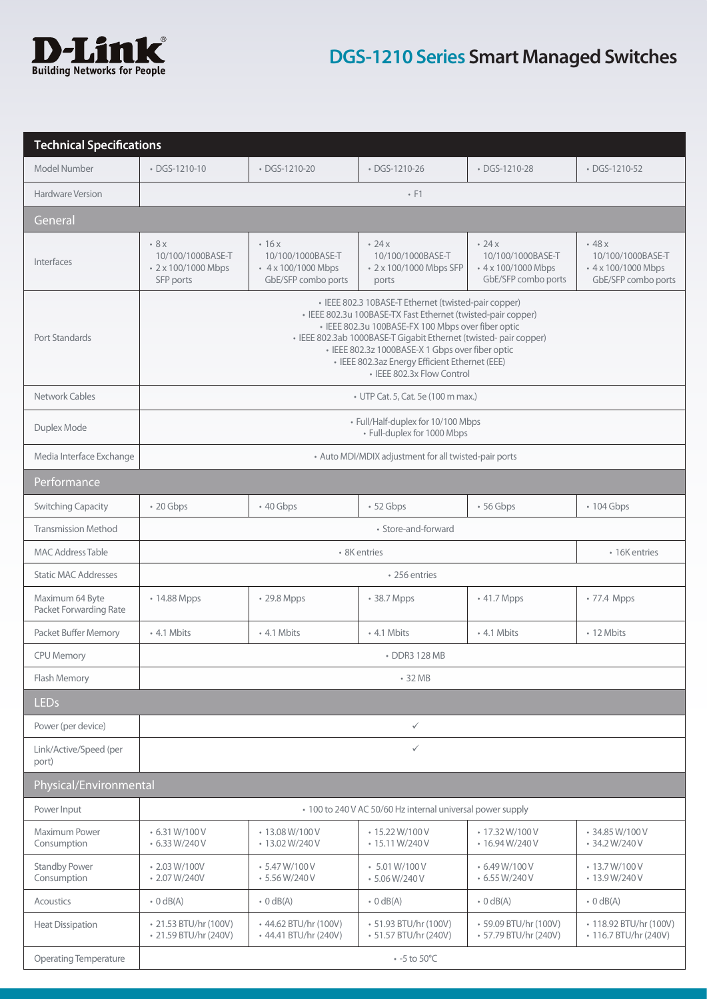

| <b>Technical Specifications</b>           |                                                                                                                                                                                                                                                                                                                                                                                     |                                                                                |                                                                              |                                                                                        |                                                                           |  |  |
|-------------------------------------------|-------------------------------------------------------------------------------------------------------------------------------------------------------------------------------------------------------------------------------------------------------------------------------------------------------------------------------------------------------------------------------------|--------------------------------------------------------------------------------|------------------------------------------------------------------------------|----------------------------------------------------------------------------------------|---------------------------------------------------------------------------|--|--|
| Model Number                              | • DGS-1210-10                                                                                                                                                                                                                                                                                                                                                                       | • DGS-1210-20                                                                  |                                                                              | • DGS-1210-28                                                                          | • DGS-1210-52                                                             |  |  |
| Hardware Version                          | $\cdot$ F1                                                                                                                                                                                                                                                                                                                                                                          |                                                                                |                                                                              |                                                                                        |                                                                           |  |  |
| General                                   |                                                                                                                                                                                                                                                                                                                                                                                     |                                                                                |                                                                              |                                                                                        |                                                                           |  |  |
| Interfaces                                | 8x<br>10/100/1000BASE-T<br>• 2 x 100/1000 Mbps<br>SFP ports                                                                                                                                                                                                                                                                                                                         | $-16x$<br>10/100/1000BASE-T<br>$4 \times 100/1000$ Mbps<br>GbE/SFP combo ports | $\cdot$ 24 $\times$<br>10/100/1000BASE-T<br>• 2 x 100/1000 Mbps SFP<br>ports | $\cdot$ 24 $\times$<br>10/100/1000BASE-T<br>• 4 x 100/1000 Mbps<br>GbE/SFP combo ports | $-48x$<br>10/100/1000BASE-T<br>• 4 x 100/1000 Mbps<br>GbE/SFP combo ports |  |  |
| Port Standards                            | · IEEE 802.3 10BASE-T Ethernet (twisted-pair copper)<br>• IEEE 802.3u 100BASE-TX Fast Ethernet (twisted-pair copper)<br>· IEEE 802.3u 100BASE-FX 100 Mbps over fiber optic<br>· IEEE 802.3ab 1000BASE-T Gigabit Ethernet (twisted- pair copper)<br>· IEEE 802.3z 1000BASE-X 1 Gbps over fiber optic<br>· IEEE 802.3az Energy Efficient Ethernet (EEE)<br>• IEEE 802.3x Flow Control |                                                                                |                                                                              |                                                                                        |                                                                           |  |  |
| Network Cables                            |                                                                                                                                                                                                                                                                                                                                                                                     |                                                                                | • UTP Cat. 5, Cat. 5e (100 m max.)                                           |                                                                                        |                                                                           |  |  |
| Duplex Mode                               |                                                                                                                                                                                                                                                                                                                                                                                     |                                                                                | • Full/Half-duplex for 10/100 Mbps<br>· Full-duplex for 1000 Mbps            |                                                                                        |                                                                           |  |  |
| Media Interface Exchange                  |                                                                                                                                                                                                                                                                                                                                                                                     |                                                                                | • Auto MDI/MDIX adjustment for all twisted-pair ports                        |                                                                                        |                                                                           |  |  |
| Performance                               |                                                                                                                                                                                                                                                                                                                                                                                     |                                                                                |                                                                              |                                                                                        |                                                                           |  |  |
| <b>Switching Capacity</b>                 | $\cdot$ 20 Gbps                                                                                                                                                                                                                                                                                                                                                                     | $\cdot$ 40 Gbps                                                                | · 52 Gbps                                                                    | $\cdot$ 56 Gbps                                                                        | • 104 Gbps                                                                |  |  |
| <b>Transmission Method</b>                | • Store-and-forward                                                                                                                                                                                                                                                                                                                                                                 |                                                                                |                                                                              |                                                                                        |                                                                           |  |  |
| <b>MAC Address Table</b>                  |                                                                                                                                                                                                                                                                                                                                                                                     | · 8K entries<br>• 16K entries                                                  |                                                                              |                                                                                        |                                                                           |  |  |
| <b>Static MAC Addresses</b>               | • 256 entries                                                                                                                                                                                                                                                                                                                                                                       |                                                                                |                                                                              |                                                                                        |                                                                           |  |  |
| Maximum 64 Byte<br>Packet Forwarding Rate | • 14.88 Mpps                                                                                                                                                                                                                                                                                                                                                                        | • 29.8 Mpps                                                                    | • 38.7 Mpps                                                                  | • 41.7 Mpps                                                                            | • 77.4 Mpps                                                               |  |  |
| Packet Buffer Memory                      | • 4.1 Mbits                                                                                                                                                                                                                                                                                                                                                                         | • 4.1 Mbits                                                                    | • 4.1 Mbits                                                                  | • 4.1 Mbits                                                                            | • 12 Mbits                                                                |  |  |
| <b>CPU Memory</b>                         | • DDR3 128 MB                                                                                                                                                                                                                                                                                                                                                                       |                                                                                |                                                                              |                                                                                        |                                                                           |  |  |
| Flash Memory                              | • 32 MB                                                                                                                                                                                                                                                                                                                                                                             |                                                                                |                                                                              |                                                                                        |                                                                           |  |  |
| <b>LEDs</b>                               |                                                                                                                                                                                                                                                                                                                                                                                     |                                                                                |                                                                              |                                                                                        |                                                                           |  |  |
| Power (per device)                        | $\checkmark$                                                                                                                                                                                                                                                                                                                                                                        |                                                                                |                                                                              |                                                                                        |                                                                           |  |  |
| Link/Active/Speed (per<br>port)           | $\checkmark$                                                                                                                                                                                                                                                                                                                                                                        |                                                                                |                                                                              |                                                                                        |                                                                           |  |  |
| Physical/Environmental                    |                                                                                                                                                                                                                                                                                                                                                                                     |                                                                                |                                                                              |                                                                                        |                                                                           |  |  |
| Power Input                               |                                                                                                                                                                                                                                                                                                                                                                                     |                                                                                | • 100 to 240 V AC 50/60 Hz internal universal power supply                   |                                                                                        |                                                                           |  |  |
| Maximum Power<br>Consumption              | $\cdot$ 6.31 W/100 V<br>6.33 W/240 V                                                                                                                                                                                                                                                                                                                                                | • 13.08 W/100 V<br>• 13.02 W/240 V                                             | $\cdot$ 15.22 W/100 V<br>$\cdot$ 15.11 W/240 V                               | $\cdot$ 17.32 W/100 V<br>$\cdot$ 16.94 W/240 V                                         | • 34.85 W/100 V<br>• 34.2 W/240 V                                         |  |  |
| <b>Standby Power</b><br>Consumption       | $\cdot$ 2.03 W/100V<br>$\cdot$ 2.07 W/240V                                                                                                                                                                                                                                                                                                                                          | $-5.47 W/100 V$<br>$-5.56 W/240 V$                                             | $-5.01 W/100 V$<br>$-5.06 W/240 V$                                           | 6.49 W/100 V<br>$\cdot$ 6.55 W/240 V                                                   | • 13.7 W/100 V<br>$\cdot$ 13.9 W/240 V                                    |  |  |
| Acoustics                                 | $\bullet$ 0 dB(A)                                                                                                                                                                                                                                                                                                                                                                   | $\cdot$ 0 dB(A)                                                                | $\cdot$ 0 dB(A)                                                              | $\cdot$ 0 dB(A)                                                                        | $\cdot$ 0 dB(A)                                                           |  |  |
| <b>Heat Dissipation</b>                   | • 21.53 BTU/hr (100V)<br>• 21.59 BTU/hr (240V)                                                                                                                                                                                                                                                                                                                                      | • 44.62 BTU/hr (100V)<br>• 44.41 BTU/hr (240V)                                 | • 51.93 BTU/hr (100V)<br>• 51.57 BTU/hr (240V)                               | • 59.09 BTU/hr (100V)<br>• 57.79 BTU/hr (240V)                                         | • 118.92 BTU/hr (100V)<br>• 116.7 BTU/hr (240V)                           |  |  |
| <b>Operating Temperature</b>              |                                                                                                                                                                                                                                                                                                                                                                                     |                                                                                | $\cdot$ -5 to 50°C                                                           |                                                                                        |                                                                           |  |  |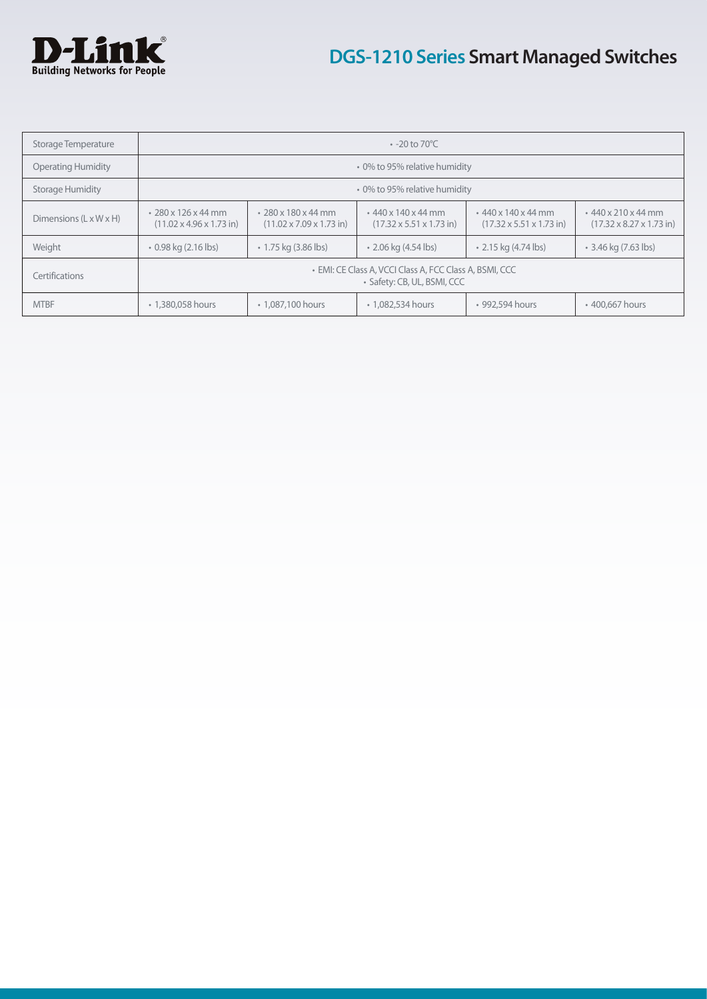

| Storage Temperature                | $\cdot$ -20 to 70 °C                                                                   |                                                                           |                                                                           |                                                                   |                                                                   |  |  |
|------------------------------------|----------------------------------------------------------------------------------------|---------------------------------------------------------------------------|---------------------------------------------------------------------------|-------------------------------------------------------------------|-------------------------------------------------------------------|--|--|
| <b>Operating Humidity</b>          | • 0% to 95% relative humidity                                                          |                                                                           |                                                                           |                                                                   |                                                                   |  |  |
| <b>Storage Humidity</b>            | • 0% to 95% relative humidity                                                          |                                                                           |                                                                           |                                                                   |                                                                   |  |  |
| Dimensions $(L \times W \times H)$ | $\cdot$ 280 x 126 x 44 mm<br>$(11.02 \times 4.96 \times 1.73 \text{ in})$              | $\cdot$ 280 x 180 x 44 mm<br>$(11.02 \times 7.09 \times 1.73 \text{ in})$ | $\cdot$ 440 x 140 x 44 mm<br>$(17.32 \times 5.51 \times 1.73 \text{ in})$ | $\cdot$ 440 x 140 x 44 mm<br>$(17.32 \times 5.51 \times 1.73$ in) | $\cdot$ 440 x 210 x 44 mm<br>$(17.32 \times 8.27 \times 1.73$ in) |  |  |
| Weight                             | $\cdot$ 0.98 kg (2.16 lbs)                                                             | $\cdot$ 1.75 kg (3.86 lbs)                                                | • 2.06 kg (4.54 lbs)                                                      | $\cdot$ 2.15 kg (4.74 lbs)                                        | • 3.46 kg (7.63 lbs)                                              |  |  |
| Certifications                     | • EMI: CE Class A, VCCI Class A, FCC Class A, BSMI, CCC<br>• Safety: CB, UL, BSMI, CCC |                                                                           |                                                                           |                                                                   |                                                                   |  |  |
| <b>MTBF</b>                        | • 1,380,058 hours                                                                      | • 1,087,100 hours                                                         | • 1,082,534 hours                                                         | • 992,594 hours                                                   | • 400,667 hours                                                   |  |  |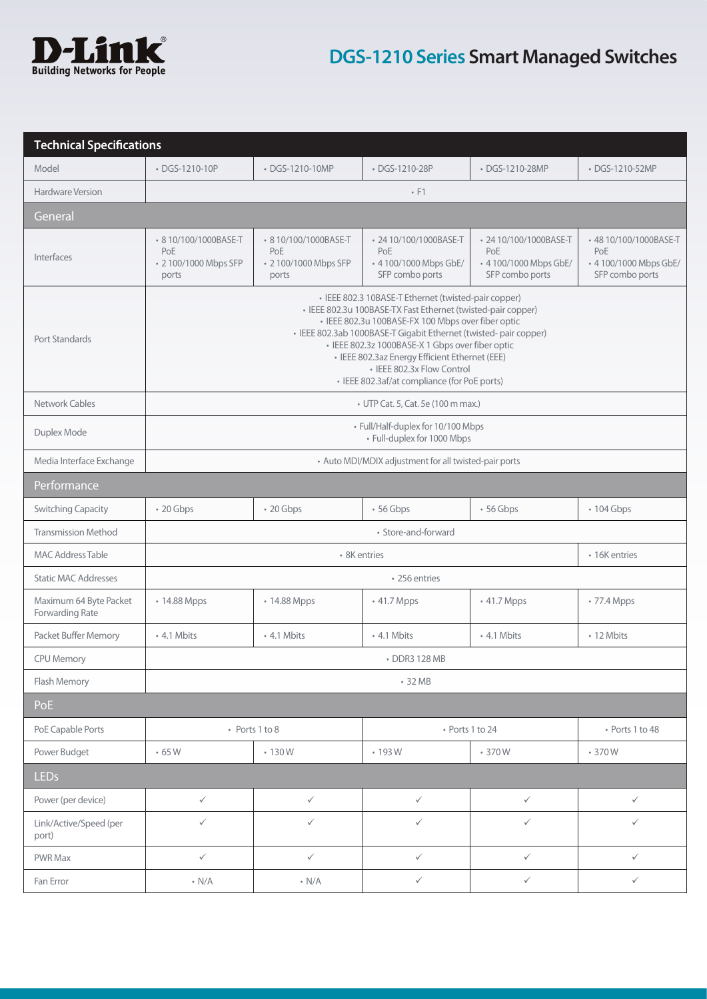

| <b>Technical Specifications</b>                                                   |                                                                                                                                                                                                                                                                                                                                                                                                                                     |                                                               |                                                                            |                                                                            |                                                                           |  |  |
|-----------------------------------------------------------------------------------|-------------------------------------------------------------------------------------------------------------------------------------------------------------------------------------------------------------------------------------------------------------------------------------------------------------------------------------------------------------------------------------------------------------------------------------|---------------------------------------------------------------|----------------------------------------------------------------------------|----------------------------------------------------------------------------|---------------------------------------------------------------------------|--|--|
| Model                                                                             | • DGS-1210-10P                                                                                                                                                                                                                                                                                                                                                                                                                      | • DGS-1210-10MP                                               | • DGS-1210-28P                                                             | • DGS-1210-28MP                                                            | • DGS-1210-52MP                                                           |  |  |
| Hardware Version                                                                  | $\cdot$ F1                                                                                                                                                                                                                                                                                                                                                                                                                          |                                                               |                                                                            |                                                                            |                                                                           |  |  |
| General                                                                           |                                                                                                                                                                                                                                                                                                                                                                                                                                     |                                                               |                                                                            |                                                                            |                                                                           |  |  |
| Interfaces                                                                        | • 8 10/100/1000BASE-T<br>PoE<br>• 2 100/1000 Mbps SFP<br>ports                                                                                                                                                                                                                                                                                                                                                                      | • 810/100/1000BASE-T<br>PoE<br>• 2 100/1000 Mbps SFP<br>ports | • 24 10/100/1000BASE-T<br>PoE<br>• 4 100/1000 Mbps GbE/<br>SFP combo ports | • 24 10/100/1000BASE-T<br>PoE<br>• 4 100/1000 Mbps GbE/<br>SFP combo ports | +48 10/100/1000BASE-T<br>PoE<br>• 4 100/1000 Mbps GbE/<br>SFP combo ports |  |  |
| <b>Port Standards</b>                                                             | • IEEE 802.3 10BASE-T Ethernet (twisted-pair copper)<br>· IEEE 802.3u 100BASE-TX Fast Ethernet (twisted-pair copper)<br>· IEEE 802.3u 100BASE-FX 100 Mbps over fiber optic<br>· IEEE 802.3ab 1000BASE-T Gigabit Ethernet (twisted- pair copper)<br>· IEEE 802.3z 1000BASE-X 1 Gbps over fiber optic<br>· IEEE 802.3az Energy Efficient Ethernet (EEE)<br>• IEEE 802.3x Flow Control<br>• IEEE 802.3af/at compliance (for PoE ports) |                                                               |                                                                            |                                                                            |                                                                           |  |  |
| Network Cables                                                                    |                                                                                                                                                                                                                                                                                                                                                                                                                                     |                                                               | • UTP Cat. 5, Cat. 5e (100 m max.)                                         |                                                                            |                                                                           |  |  |
| Duplex Mode                                                                       |                                                                                                                                                                                                                                                                                                                                                                                                                                     |                                                               | • Full/Half-duplex for 10/100 Mbps<br>• Full-duplex for 1000 Mbps          |                                                                            |                                                                           |  |  |
| Media Interface Exchange<br>• Auto MDI/MDIX adjustment for all twisted-pair ports |                                                                                                                                                                                                                                                                                                                                                                                                                                     |                                                               |                                                                            |                                                                            |                                                                           |  |  |
| Performance                                                                       |                                                                                                                                                                                                                                                                                                                                                                                                                                     |                                                               |                                                                            |                                                                            |                                                                           |  |  |
| <b>Switching Capacity</b>                                                         | • 20 Gbps                                                                                                                                                                                                                                                                                                                                                                                                                           | • 20 Gbps                                                     | •56 Gbps                                                                   | $\cdot$ 56 Gbps                                                            | • 104 Gbps                                                                |  |  |
| <b>Transmission Method</b>                                                        | • Store-and-forward                                                                                                                                                                                                                                                                                                                                                                                                                 |                                                               |                                                                            |                                                                            |                                                                           |  |  |
| <b>MAC Address Table</b>                                                          |                                                                                                                                                                                                                                                                                                                                                                                                                                     |                                                               | • 8K entries                                                               |                                                                            | • 16K entries                                                             |  |  |
| <b>Static MAC Addresses</b>                                                       | • 256 entries                                                                                                                                                                                                                                                                                                                                                                                                                       |                                                               |                                                                            |                                                                            |                                                                           |  |  |
| Maximum 64 Byte Packet<br>Forwarding Rate                                         | • 14.88 Mpps                                                                                                                                                                                                                                                                                                                                                                                                                        | • 14.88 Mpps                                                  | • 41.7 Mpps                                                                | • 41.7 Mpps                                                                | • 77.4 Mpps                                                               |  |  |
| Packet Buffer Memory                                                              | • 4.1 Mbits                                                                                                                                                                                                                                                                                                                                                                                                                         | • 4.1 Mbits                                                   | • 4.1 Mbits                                                                | • 4.1 Mbits                                                                | • 12 Mbits                                                                |  |  |
| <b>CPU Memory</b>                                                                 | • DDR3 128 MB                                                                                                                                                                                                                                                                                                                                                                                                                       |                                                               |                                                                            |                                                                            |                                                                           |  |  |
| Flash Memory                                                                      | • 32 MB                                                                                                                                                                                                                                                                                                                                                                                                                             |                                                               |                                                                            |                                                                            |                                                                           |  |  |
| PoE                                                                               |                                                                                                                                                                                                                                                                                                                                                                                                                                     |                                                               |                                                                            |                                                                            |                                                                           |  |  |
| PoE Capable Ports                                                                 |                                                                                                                                                                                                                                                                                                                                                                                                                                     | • Ports 1 to 8                                                |                                                                            | • Ports 1 to 24                                                            | • Ports 1 to 48                                                           |  |  |
| Power Budget                                                                      | $\cdot$ 65 W                                                                                                                                                                                                                                                                                                                                                                                                                        | .130W                                                         | $\cdot$ 193 W                                                              | • 370W                                                                     | $-370W$                                                                   |  |  |
| <b>LEDs</b>                                                                       |                                                                                                                                                                                                                                                                                                                                                                                                                                     |                                                               |                                                                            |                                                                            |                                                                           |  |  |
| Power (per device)                                                                | $\checkmark$                                                                                                                                                                                                                                                                                                                                                                                                                        | $\checkmark$                                                  | $\checkmark$                                                               | $\checkmark$                                                               | $\checkmark$                                                              |  |  |
| Link/Active/Speed (per<br>port)                                                   | $\checkmark$                                                                                                                                                                                                                                                                                                                                                                                                                        | $\checkmark$                                                  | $\checkmark$                                                               | $\checkmark$                                                               | $\checkmark$                                                              |  |  |
| PWR Max                                                                           | $\checkmark$                                                                                                                                                                                                                                                                                                                                                                                                                        | $\checkmark$                                                  | $\checkmark$                                                               | $\checkmark$                                                               | $\checkmark$                                                              |  |  |
| Fan Error                                                                         | $\cdot$ N/A                                                                                                                                                                                                                                                                                                                                                                                                                         | $\cdot$ N/A                                                   | $\checkmark$                                                               | $\checkmark$                                                               | $\checkmark$                                                              |  |  |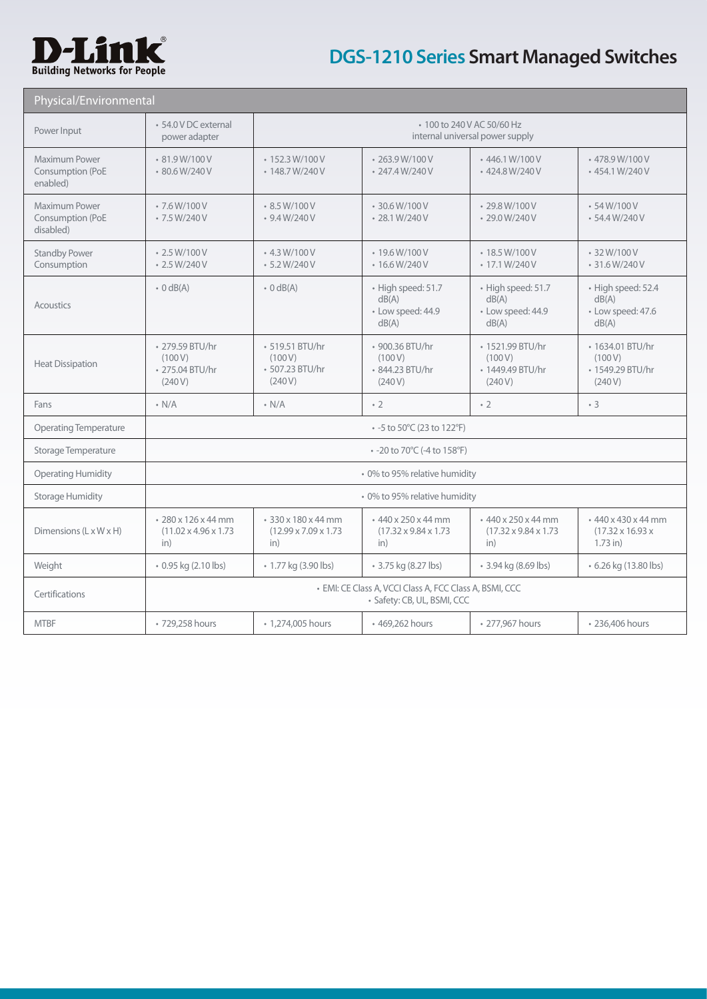

| Physical/Environmental                         |                                                                                        |                                                                |                                                                       |                                                                 |                                                                         |  |  |  |
|------------------------------------------------|----------------------------------------------------------------------------------------|----------------------------------------------------------------|-----------------------------------------------------------------------|-----------------------------------------------------------------|-------------------------------------------------------------------------|--|--|--|
| Power Input                                    | • 54.0 V DC external<br>power adapter                                                  |                                                                | • 100 to 240 V AC 50/60 Hz<br>internal universal power supply         |                                                                 |                                                                         |  |  |  |
| Maximum Power<br>Consumption (PoE<br>enabled)  | $\cdot$ 81.9 W/100 V<br>• 80.6 W/240 V                                                 | $\cdot$ 152.3 W/100 V<br>$\cdot$ 148.7 W/240 V                 | $\cdot$ 263.9 W/100 V<br>$\cdot$ 247.4 W/240 V                        | $\cdot$ 446.1 W/100 V<br>• 424.8 W/240 V                        | • 478.9 W/100 V<br>• 454.1 W/240 V                                      |  |  |  |
| Maximum Power<br>Consumption (PoE<br>disabled) | $-7.6 W/100 V$<br>$-7.5 W/240 V$                                                       | $\cdot$ 8.5 W/100 V<br>$-9.4 W/240 V$                          | $\cdot$ 30.6 W/100 V<br>$\cdot$ 28.1 W/240 V                          | $\cdot$ 29.8 W/100 V<br>$\cdot$ 29.0 W/240 V                    | $-54 W/100 V$<br>$-54.4 W/240 V$                                        |  |  |  |
| <b>Standby Power</b><br>Consumption            | $\cdot$ 2.5 W/100 V<br>$\cdot$ 2.5 W/240 V                                             | $-4.3 W/100 V$<br>$-5.2 W/240 V$                               | $\cdot$ 19.6 W/100 V<br>$\cdot$ 16.6 W/240 V                          | $\cdot$ 18.5 W/100 V<br>$\cdot$ 17.1 W/240 V                    | • 32 W/100 V<br>$\cdot$ 31.6 W/240 V                                    |  |  |  |
| Acoustics                                      | $\cdot$ 0 dB(A)                                                                        | $\cdot$ 0 dB(A)                                                | · High speed: 51.7<br>dB(A)<br>· Low speed: 44.9<br>dB(A)             | · High speed: 51.7<br>dB(A)<br>• Low speed: 44.9<br>dB(A)       | · High speed: 52.4<br>dB(A)<br>• Low speed: 47.6<br>dB(A)               |  |  |  |
| <b>Heat Dissipation</b>                        | • 279.59 BTU/hr<br>(100V)<br>• 275.04 BTU/hr<br>(240V)                                 | • 519.51 BTU/hr<br>(100V)<br>• 507.23 BTU/hr<br>(240V)         | • 900.36 BTU/hr<br>(100V)<br>• 844.23 BTU/hr<br>(240V)                | • 1521.99 BTU/hr<br>(100 V)<br>• 1449.49 BTU/hr<br>(240 V)      | • 1634.01 BTU/hr<br>(100 V)<br>• 1549.29 BTU/hr<br>(240 V)              |  |  |  |
| Fans                                           | $\cdot$ N/A                                                                            | $\cdot$ N/A                                                    | $\cdot$ 2                                                             | $\cdot$ 2                                                       | $\cdot$ 3                                                               |  |  |  |
| <b>Operating Temperature</b>                   | • -5 to 50°C (23 to 122°F)                                                             |                                                                |                                                                       |                                                                 |                                                                         |  |  |  |
| Storage Temperature                            | • -20 to 70°C (-4 to 158°F)                                                            |                                                                |                                                                       |                                                                 |                                                                         |  |  |  |
| <b>Operating Humidity</b>                      | · 0% to 95% relative humidity                                                          |                                                                |                                                                       |                                                                 |                                                                         |  |  |  |
| <b>Storage Humidity</b>                        | • 0% to 95% relative humidity                                                          |                                                                |                                                                       |                                                                 |                                                                         |  |  |  |
| Dimensions $(L \times W \times H)$             | • 280 x 126 x 44 mm<br>$(11.02 \times 4.96 \times 1.73$<br>in)                         | • 330 x 180 x 44 mm<br>$(12.99 \times 7.09 \times 1.73$<br>in) | $\cdot$ 440 x 250 x 44 mm<br>$(17.32 \times 9.84 \times 1.73)$<br>in) | • 440 x 250 x 44 mm<br>$(17.32 \times 9.84 \times 1.73)$<br>in) | $\cdot$ 440 x 430 x 44 mm<br>$(17.32 \times 16.93 \times$<br>$1.73$ in) |  |  |  |
| Weight                                         | • 0.95 kg (2.10 lbs)                                                                   | • 1.77 kg (3.90 lbs)                                           | • 3.75 kg (8.27 lbs)                                                  | • 3.94 kg (8.69 lbs)                                            | • 6.26 kg (13.80 lbs)                                                   |  |  |  |
| Certifications                                 | • EMI: CE Class A, VCCI Class A, FCC Class A, BSMI, CCC<br>· Safety: CB, UL, BSMI, CCC |                                                                |                                                                       |                                                                 |                                                                         |  |  |  |
| <b>MTBF</b>                                    | • 729,258 hours                                                                        | • 1,274,005 hours                                              | • 469,262 hours                                                       | • 277,967 hours                                                 | • 236,406 hours                                                         |  |  |  |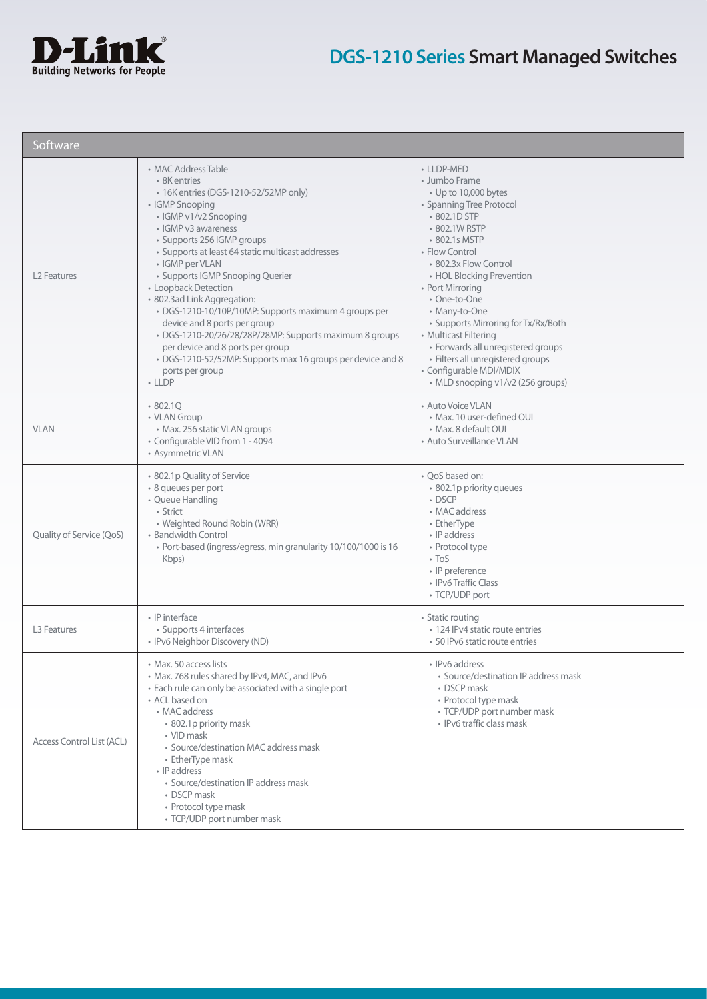

| Software                  |                                                                                                                                                                                                                                                                                                                                                                                                                                                                                                                                                                                                                                        |                                                                                                                                                                                                                                                                                                                                                                                                                                                                           |
|---------------------------|----------------------------------------------------------------------------------------------------------------------------------------------------------------------------------------------------------------------------------------------------------------------------------------------------------------------------------------------------------------------------------------------------------------------------------------------------------------------------------------------------------------------------------------------------------------------------------------------------------------------------------------|---------------------------------------------------------------------------------------------------------------------------------------------------------------------------------------------------------------------------------------------------------------------------------------------------------------------------------------------------------------------------------------------------------------------------------------------------------------------------|
| L <sub>2</sub> Features   | • MAC Address Table<br>• 8K entries<br>• 16K entries (DGS-1210-52/52MP only)<br>• IGMP Snooping<br>• IGMP v1/v2 Snooping<br>• IGMP v3 awareness<br>· Supports 256 IGMP groups<br>• Supports at least 64 static multicast addresses<br>• IGMP per VLAN<br>• Supports IGMP Snooping Querier<br>• Loopback Detection<br>· 802.3ad Link Aggregation:<br>· DGS-1210-10/10P/10MP: Supports maximum 4 groups per<br>device and 8 ports per group<br>· DGS-1210-20/26/28/28P/28MP: Supports maximum 8 groups<br>per device and 8 ports per group<br>• DGS-1210-52/52MP: Supports max 16 groups per device and 8<br>ports per group<br>$-$ LLDP | • LLDP-MED<br>• Jumbo Frame<br>• Up to 10,000 bytes<br>• Spanning Tree Protocol<br>• 802.1D STP<br>• 802.1W RSTP<br>• 802.1s MSTP<br>• Flow Control<br>• 802.3x Flow Control<br>• HOL Blocking Prevention<br>• Port Mirroring<br>• One-to-One<br>• Many-to-One<br>• Supports Mirroring for Tx/Rx/Both<br>• Multicast Filtering<br>• Forwards all unregistered groups<br>• Filters all unregistered groups<br>· Configurable MDI/MDIX<br>• MLD snooping v1/v2 (256 groups) |
| <b>VLAN</b>               | •802.1Q<br>• VLAN Group<br>• Max. 256 static VLAN groups<br>• Configurable VID from 1 - 4094<br>• Asymmetric VLAN                                                                                                                                                                                                                                                                                                                                                                                                                                                                                                                      | • Auto Voice VLAN<br>• Max. 10 user-defined OUI<br>• Max. 8 default OUI<br>• Auto Surveillance VLAN                                                                                                                                                                                                                                                                                                                                                                       |
| Quality of Service (QoS)  | • 802.1p Quality of Service<br>· 8 queues per port<br>• Queue Handling<br>• Strict<br>• Weighted Round Robin (WRR)<br>• Bandwidth Control<br>• Port-based (ingress/egress, min granularity 10/100/1000 is 16<br>Kbps)                                                                                                                                                                                                                                                                                                                                                                                                                  | • QoS based on:<br>• 802.1p priority queues<br>• DSCP<br>• MAC address<br>• EtherType<br>• IP address<br>• Protocol type<br>$\cdot$ ToS<br>· IP preference<br>• IPv6 Traffic Class<br>• TCP/UDP port                                                                                                                                                                                                                                                                      |
| <b>L3 Features</b>        | • IP interface<br>• Supports 4 interfaces<br>• IPv6 Neighbor Discovery (ND)                                                                                                                                                                                                                                                                                                                                                                                                                                                                                                                                                            | • Static routing<br>• 124 IPv4 static route entries<br>• 50 IPv6 static route entries                                                                                                                                                                                                                                                                                                                                                                                     |
| Access Control List (ACL) | • Max. 50 access lists<br>· Max. 768 rules shared by IPv4, MAC, and IPv6<br>• Each rule can only be associated with a single port<br>• ACL based on<br>• MAC address<br>• 802.1p priority mask<br>• VID mask<br>· Source/destination MAC address mask<br>• EtherType mask<br>• IP address<br>• Source/destination IP address mask<br>• DSCP mask<br>• Protocol type mask<br>• TCP/UDP port number mask                                                                                                                                                                                                                                 | • IPv6 address<br>· Source/destination IP address mask<br>• DSCP mask<br>• Protocol type mask<br>• TCP/UDP port number mask<br>• IPv6 traffic class mask                                                                                                                                                                                                                                                                                                                  |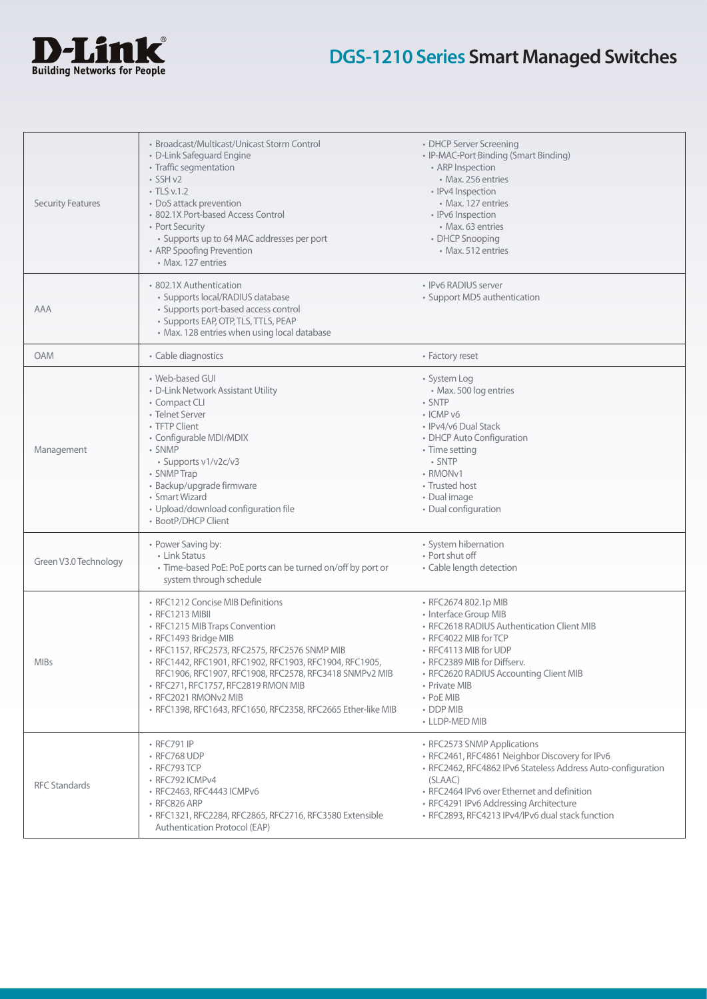

| <b>Security Features</b> | • Broadcast/Multicast/Unicast Storm Control<br>• D-Link Safeguard Engine<br>• Traffic segmentation<br>$\cdot$ SSH v2<br>$\cdot$ TLS v.1.2<br>• DoS attack prevention<br>• 802.1X Port-based Access Control<br>• Port Security<br>• Supports up to 64 MAC addresses per port<br>• ARP Spoofing Prevention<br>• Max. 127 entries                                                                                      | • DHCP Server Screening<br>• IP-MAC-Port Binding (Smart Binding)<br>• ARP Inspection<br>• Max. 256 entries<br>· IPv4 Inspection<br>• Max. 127 entries<br>• IPv6 Inspection<br>• Max. 63 entries<br>• DHCP Snooping<br>• Max. 512 entries                                                              |
|--------------------------|---------------------------------------------------------------------------------------------------------------------------------------------------------------------------------------------------------------------------------------------------------------------------------------------------------------------------------------------------------------------------------------------------------------------|-------------------------------------------------------------------------------------------------------------------------------------------------------------------------------------------------------------------------------------------------------------------------------------------------------|
| AAA                      | • 802.1X Authentication<br>• Supports local/RADIUS database<br>• Supports port-based access control<br>· Supports EAP, OTP, TLS, TTLS, PEAP<br>• Max. 128 entries when using local database                                                                                                                                                                                                                         | • IPv6 RADIUS server<br>• Support MD5 authentication                                                                                                                                                                                                                                                  |
| <b>OAM</b>               | • Cable diagnostics                                                                                                                                                                                                                                                                                                                                                                                                 | • Factory reset                                                                                                                                                                                                                                                                                       |
| Management               | • Web-based GUI<br>• D-Link Network Assistant Utility<br>• Compact CLI<br>• Telnet Server<br>• TFTP Client<br>• Configurable MDI/MDIX<br>• SNMP<br>• Supports v1/v2c/v3<br>• SNMP Trap<br>· Backup/upgrade firmware<br>• Smart Wizard<br>• Upload/download configuration file<br>• BootP/DHCP Client                                                                                                                | • System Log<br>• Max. 500 log entries<br>• SNTP<br>$\cdot$ ICMP $v6$<br>• IPv4/v6 Dual Stack<br>• DHCP Auto Configuration<br>• Time setting<br>• SNTP<br>• RMON <sub>v1</sub><br>• Trusted host<br>· Dual image<br>• Dual configuration                                                              |
| Green V3.0 Technology    | • Power Saving by:<br>• Link Status<br>· Time-based PoE: PoE ports can be turned on/off by port or<br>system through schedule                                                                                                                                                                                                                                                                                       | • System hibernation<br>• Port shut off<br>• Cable length detection                                                                                                                                                                                                                                   |
| <b>MIBs</b>              | • RFC1212 Concise MIB Definitions<br>• RFC1213 MIBII<br>• RFC1215 MIB Traps Convention<br>· RFC1493 Bridge MIB<br>• RFC1157, RFC2573, RFC2575, RFC2576 SNMP MIB<br>· RFC1442, RFC1901, RFC1902, RFC1903, RFC1904, RFC1905,<br>RFC1906, RFC1907, RFC1908, RFC2578, RFC3418 SNMPv2 MIB<br>• RFC271, RFC1757, RFC2819 RMON MIB<br>• RFC2021 RMONv2 MIB<br>· RFC1398, RFC1643, RFC1650, RFC2358, RFC2665 Ether-like MIB | · RFC2674 802.1p MIB<br>• Interface Group MIB<br>• RFC2618 RADIUS Authentication Client MIB<br>• RFC4022 MIB for TCP<br>• RFC4113 MIB for UDP<br>• RFC2389 MIB for Diffserv.<br>• RFC2620 RADIUS Accounting Client MIB<br>• Private MIB<br>• PoE MIB<br>• DDP MIB<br>• LLDP-MED MIB                   |
| <b>RFC Standards</b>     | • RFC791 IP<br>• RFC768 UDP<br>$\cdot$ RFC793 TCP<br>• RFC792 ICMPv4<br>• RFC2463, RFC4443 ICMPv6<br>$\cdot$ RFC826 ARP<br>· RFC1321, RFC2284, RFC2865, RFC2716, RFC3580 Extensible<br>Authentication Protocol (EAP)                                                                                                                                                                                                | • RFC2573 SNMP Applications<br>· RFC2461, RFC4861 Neighbor Discovery for IPv6<br>• RFC2462, RFC4862 IPv6 Stateless Address Auto-configuration<br>(SLAAC)<br>• RFC2464 IPv6 over Ethernet and definition<br>• RFC4291 IPv6 Addressing Architecture<br>· RFC2893, RFC4213 IPv4/IPv6 dual stack function |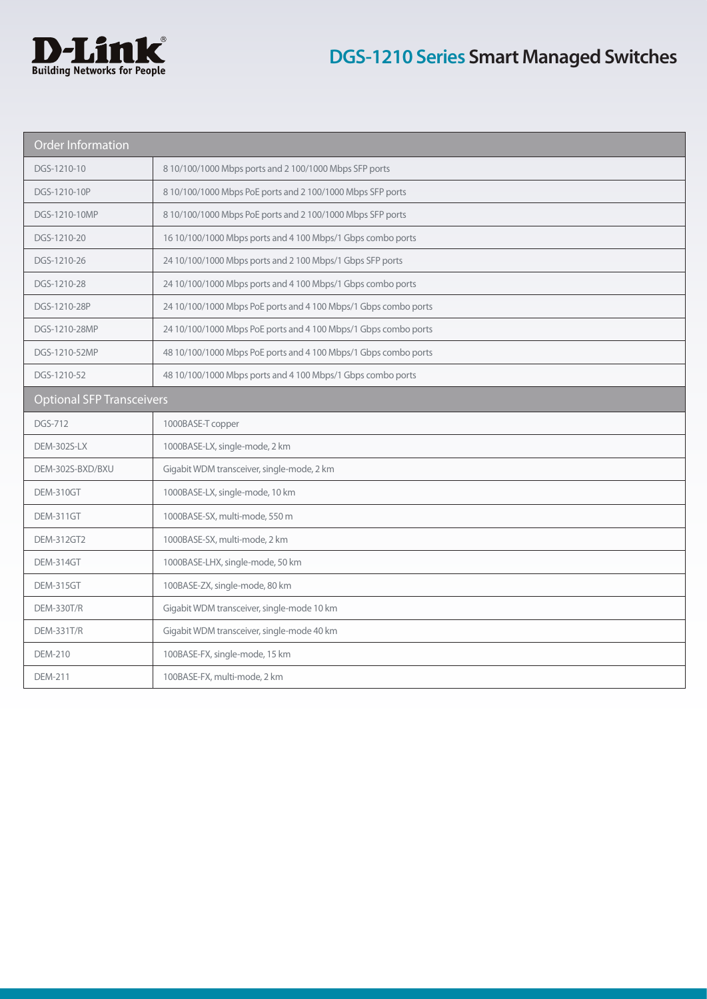

| <b>Order Information</b>         |                                                                 |  |  |  |  |
|----------------------------------|-----------------------------------------------------------------|--|--|--|--|
| DGS-1210-10                      | 8 10/100/1000 Mbps ports and 2 100/1000 Mbps SFP ports          |  |  |  |  |
| DGS-1210-10P                     | 8 10/100/1000 Mbps PoE ports and 2 100/1000 Mbps SFP ports      |  |  |  |  |
| DGS-1210-10MP                    | 8 10/100/1000 Mbps PoE ports and 2 100/1000 Mbps SFP ports      |  |  |  |  |
| DGS-1210-20                      | 16 10/100/1000 Mbps ports and 4 100 Mbps/1 Gbps combo ports     |  |  |  |  |
| DGS-1210-26                      | 24 10/100/1000 Mbps ports and 2 100 Mbps/1 Gbps SFP ports       |  |  |  |  |
| DGS-1210-28                      | 24 10/100/1000 Mbps ports and 4 100 Mbps/1 Gbps combo ports     |  |  |  |  |
| DGS-1210-28P                     | 24 10/100/1000 Mbps PoE ports and 4 100 Mbps/1 Gbps combo ports |  |  |  |  |
| DGS-1210-28MP                    | 24 10/100/1000 Mbps PoE ports and 4 100 Mbps/1 Gbps combo ports |  |  |  |  |
| DGS-1210-52MP                    | 48 10/100/1000 Mbps PoE ports and 4 100 Mbps/1 Gbps combo ports |  |  |  |  |
| DGS-1210-52                      | 48 10/100/1000 Mbps ports and 4 100 Mbps/1 Gbps combo ports     |  |  |  |  |
| <b>Optional SFP Transceivers</b> |                                                                 |  |  |  |  |
| DGS-712                          | 1000BASE-T copper                                               |  |  |  |  |
| <b>DEM-302S-LX</b>               | 1000BASE-LX, single-mode, 2 km                                  |  |  |  |  |
| DEM-302S-BXD/BXU                 | Gigabit WDM transceiver, single-mode, 2 km                      |  |  |  |  |
| <b>DEM-310GT</b>                 | 1000BASE-LX, single-mode, 10 km                                 |  |  |  |  |
| DEM-311GT                        | 1000BASE-SX, multi-mode, 550 m                                  |  |  |  |  |
| <b>DEM-312GT2</b>                | 1000BASE-SX, multi-mode, 2 km                                   |  |  |  |  |
| DEM-314GT                        | 1000BASE-LHX, single-mode, 50 km                                |  |  |  |  |
| <b>DEM-315GT</b>                 | 100BASE-ZX, single-mode, 80 km                                  |  |  |  |  |
| <b>DEM-330T/R</b>                | Gigabit WDM transceiver, single-mode 10 km                      |  |  |  |  |
| <b>DEM-331T/R</b>                | Gigabit WDM transceiver, single-mode 40 km                      |  |  |  |  |
| <b>DEM-210</b>                   | 100BASE-FX, single-mode, 15 km                                  |  |  |  |  |
| <b>DEM-211</b>                   | 100BASE-FX, multi-mode, 2 km                                    |  |  |  |  |